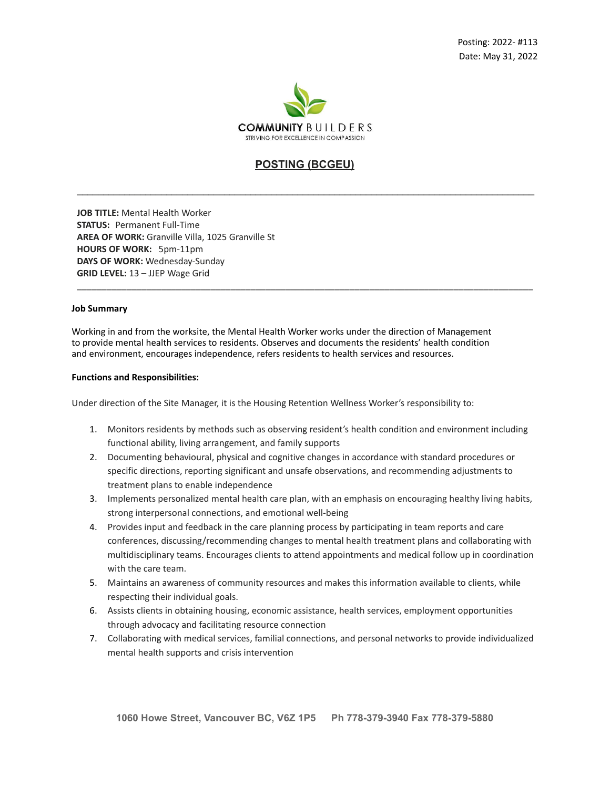

# **POSTING (BCGEU)**

\_\_\_\_\_\_\_\_\_\_\_\_\_\_\_\_\_\_\_\_\_\_\_\_\_\_\_\_\_\_\_\_\_\_\_\_\_\_\_\_\_\_\_\_\_\_\_\_\_\_\_\_\_\_\_\_\_\_\_\_\_\_\_\_\_\_\_\_\_\_\_\_\_\_\_\_\_\_\_\_\_\_\_\_\_\_\_

\_\_\_\_\_\_\_\_\_\_\_\_\_\_\_\_\_\_\_\_\_\_\_\_\_\_\_\_\_\_\_\_\_\_\_\_\_\_\_\_\_\_\_\_\_\_\_\_\_\_\_\_\_\_\_\_\_\_\_\_\_\_\_\_\_\_\_\_\_\_\_\_\_\_\_\_\_\_\_\_\_\_\_\_\_\_\_\_\_\_\_\_

**JOB TITLE:** Mental Health Worker **STATUS:** Permanent Full-Time **AREA OF WORK:** Granville Villa, 1025 Granville St **HOURS OF WORK:** 5pm-11pm **DAYS OF WORK:** Wednesday-Sunday **GRID LEVEL:** 13 – JJEP Wage Grid

#### **Job Summary**

Working in and from the worksite, the Mental Health Worker works under the direction of Management to provide mental health services to residents. Observes and documents the residents' health condition and environment, encourages independence, refers residents to health services and resources.

### **Functions and Responsibilities:**

Under direction of the Site Manager, it is the Housing Retention Wellness Worker's responsibility to:

- 1. Monitors residents by methods such as observing resident's health condition and environment including functional ability, living arrangement, and family supports
- 2. Documenting behavioural, physical and cognitive changes in accordance with standard procedures or specific directions, reporting significant and unsafe observations, and recommending adjustments to treatment plans to enable independence
- 3. Implements personalized mental health care plan, with an emphasis on encouraging healthy living habits, strong interpersonal connections, and emotional well-being
- 4. Provides input and feedback in the care planning process by participating in team reports and care conferences, discussing/recommending changes to mental health treatment plans and collaborating with multidisciplinary teams. Encourages clients to attend appointments and medical follow up in coordination with the care team.
- 5. Maintains an awareness of community resources and makes this information available to clients, while respecting their individual goals.
- 6. Assists clients in obtaining housing, economic assistance, health services, employment opportunities through advocacy and facilitating resource connection
- 7. Collaborating with medical services, familial connections, and personal networks to provide individualized mental health supports and crisis intervention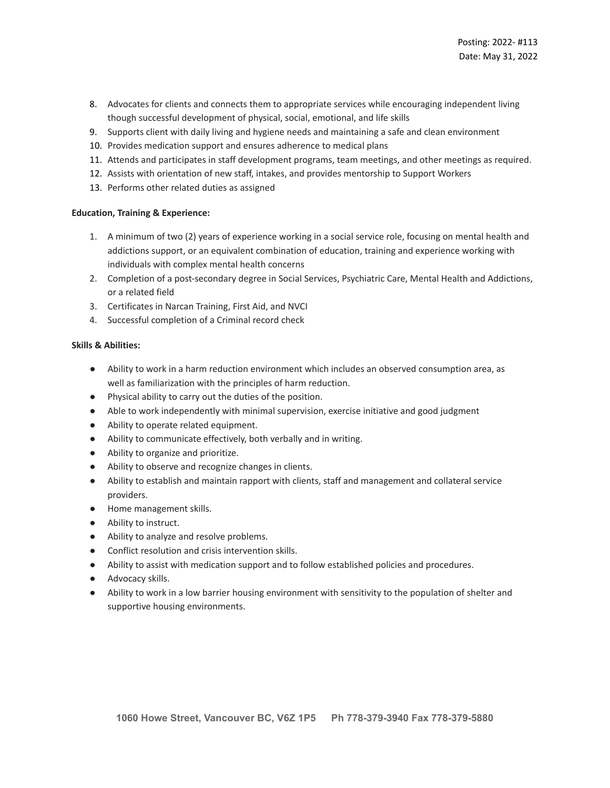- 8. Advocates for clients and connects them to appropriate services while encouraging independent living though successful development of physical, social, emotional, and life skills
- 9. Supports client with daily living and hygiene needs and maintaining a safe and clean environment
- 10. Provides medication support and ensures adherence to medical plans
- 11. Attends and participates in staff development programs, team meetings, and other meetings as required.
- 12. Assists with orientation of new staff, intakes, and provides mentorship to Support Workers
- 13. Performs other related duties as assigned

## **Education, Training & Experience:**

- 1. A minimum of two (2) years of experience working in a social service role, focusing on mental health and addictions support, or an equivalent combination of education, training and experience working with individuals with complex mental health concerns
- 2. Completion of a post-secondary degree in Social Services, Psychiatric Care, Mental Health and Addictions, or a related field
- 3. Certificates in Narcan Training, First Aid, and NVCI
- 4. Successful completion of a Criminal record check

## **Skills & Abilities:**

- Ability to work in a harm reduction environment which includes an observed consumption area, as well as familiarization with the principles of harm reduction.
- Physical ability to carry out the duties of the position.
- Able to work independently with minimal supervision, exercise initiative and good judgment
- Ability to operate related equipment.
- Ability to communicate effectively, both verbally and in writing.
- Ability to organize and prioritize.
- Ability to observe and recognize changes in clients.
- Ability to establish and maintain rapport with clients, staff and management and collateral service providers.
- Home management skills.
- Ability to instruct.
- Ability to analyze and resolve problems.
- Conflict resolution and crisis intervention skills.
- Ability to assist with medication support and to follow established policies and procedures.
- Advocacy skills.
- Ability to work in a low barrier housing environment with sensitivity to the population of shelter and supportive housing environments.